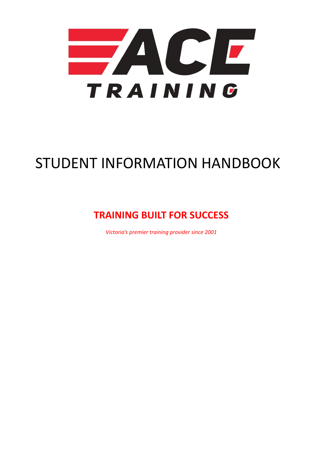

# STUDENT INFORMATION HANDBOOK

# **TRAINING BUILT FOR SUCCESS**

*Victoria's premier training provider since 2001*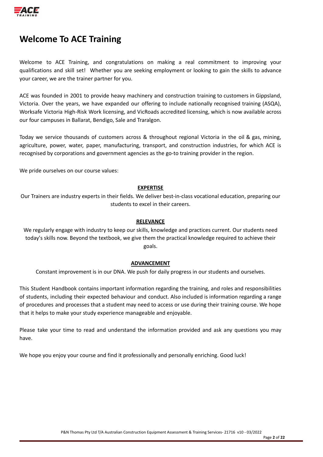

# **Welcome To ACE Training**

Welcome to ACE Training, and congratulations on making a real commitment to improving your qualifications and skill set! Whether you are seeking employment or looking to gain the skills to advance your career, we are the trainer partner for you.

ACE was founded in 2001 to provide heavy machinery and construction training to customers in Gippsland, Victoria. Over the years, we have expanded our offering to include nationally recognised training (ASQA), Worksafe Victoria High-Risk Work licensing, and VicRoads accredited licensing, which is now available across our four campuses in Ballarat, Bendigo, Sale and Traralgon.

Today we service thousands of customers across & throughout regional Victoria in the oil & gas, mining, agriculture, power, water, paper, manufacturing, transport, and construction industries, for which ACE is recognised by corporations and government agencies as the go-to training provider in the region.

We pride ourselves on our course values:

#### **EXPERTISE**

Our Trainers are industry experts in their fields. We deliver best-in-class vocational education, preparing our students to excel in their careers.

#### **RELEVANCE**

We regularly engage with industry to keep our skills, knowledge and practices current. Our students need today's skills now. Beyond the textbook, we give them the practical knowledge required to achieve their goals.

#### **ADVANCEMENT**

Constant improvement is in our DNA. We push for daily progress in our students and ourselves.

This Student Handbook contains important information regarding the training, and roles and responsibilities of students, including their expected behaviour and conduct. Also included is information regarding a range of procedures and processes that a student may need to access or use during their training course. We hope that it helps to make your study experience manageable and enjoyable.

Please take your time to read and understand the information provided and ask any questions you may have.

We hope you enjoy your course and find it professionally and personally enriching. Good luck!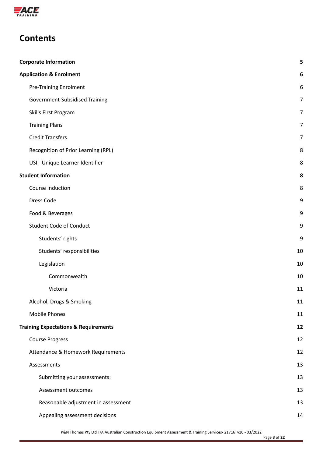

# **Contents**

| <b>Corporate Information</b> |                                                 |                |
|------------------------------|-------------------------------------------------|----------------|
|                              | <b>Application &amp; Enrolment</b>              | 6              |
|                              | <b>Pre-Training Enrolment</b>                   | 6              |
|                              | Government-Subsidised Training                  | 7              |
|                              | Skills First Program                            | $\overline{7}$ |
|                              | <b>Training Plans</b>                           | $\overline{7}$ |
|                              | <b>Credit Transfers</b>                         | $\overline{7}$ |
|                              | Recognition of Prior Learning (RPL)             | 8              |
|                              | USI - Unique Learner Identifier                 | 8              |
|                              | <b>Student Information</b>                      | 8              |
|                              | Course Induction                                | 8              |
|                              | Dress Code                                      | 9              |
|                              | Food & Beverages                                | 9              |
|                              | <b>Student Code of Conduct</b>                  | 9              |
|                              | Students' rights                                | 9              |
|                              | Students' responsibilities                      | 10             |
|                              | Legislation                                     | 10             |
|                              | Commonwealth                                    | 10             |
|                              | Victoria                                        | 11             |
|                              | Alcohol, Drugs & Smoking                        | 11             |
|                              | <b>Mobile Phones</b>                            | 11             |
|                              | <b>Training Expectations &amp; Requirements</b> | 12             |
|                              | <b>Course Progress</b>                          | 12             |
|                              | Attendance & Homework Requirements              | 12             |
|                              | Assessments                                     | 13             |
|                              | Submitting your assessments:                    | 13             |
|                              | Assessment outcomes                             | 13             |
|                              | Reasonable adjustment in assessment             | 13             |
|                              | Appealing assessment decisions                  | 14             |
|                              |                                                 |                |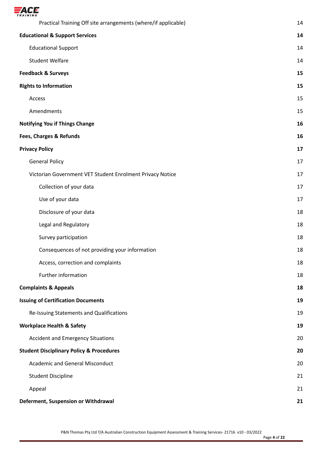

| Practical Training Off site arrangements (where/if applicable) | 14 |  |
|----------------------------------------------------------------|----|--|
| <b>Educational &amp; Support Services</b>                      |    |  |
| <b>Educational Support</b>                                     | 14 |  |
| <b>Student Welfare</b>                                         | 14 |  |
| <b>Feedback &amp; Surveys</b>                                  | 15 |  |
| <b>Rights to Information</b>                                   | 15 |  |
| Access                                                         | 15 |  |
| Amendments                                                     | 15 |  |
| <b>Notifying You if Things Change</b>                          | 16 |  |
| Fees, Charges & Refunds                                        | 16 |  |
| <b>Privacy Policy</b>                                          | 17 |  |
| <b>General Policy</b>                                          | 17 |  |
| Victorian Government VET Student Enrolment Privacy Notice      | 17 |  |
| Collection of your data                                        | 17 |  |
| Use of your data                                               | 17 |  |
| Disclosure of your data                                        | 18 |  |
| Legal and Regulatory                                           | 18 |  |
| Survey participation                                           | 18 |  |
| Consequences of not providing your information                 | 18 |  |
| Access, correction and complaints                              | 18 |  |
| Further information                                            | 18 |  |
| <b>Complaints &amp; Appeals</b>                                | 18 |  |
| <b>Issuing of Certification Documents</b>                      | 19 |  |
| Re-Issuing Statements and Qualifications                       | 19 |  |
| <b>Workplace Health &amp; Safety</b>                           | 19 |  |
| <b>Accident and Emergency Situations</b>                       | 20 |  |
| <b>Student Disciplinary Policy &amp; Procedures</b>            |    |  |
| <b>Academic and General Misconduct</b>                         | 20 |  |
| <b>Student Discipline</b>                                      | 21 |  |
| Appeal                                                         | 21 |  |
| Deferment, Suspension or Withdrawal                            | 21 |  |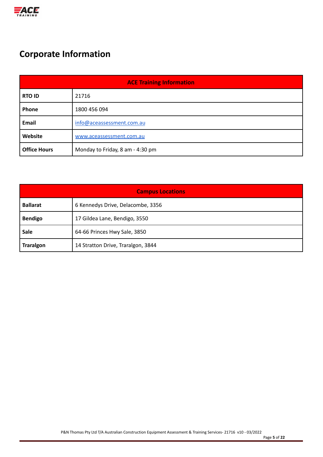

# <span id="page-4-0"></span>**Corporate Information**

| <b>ACE Training Information</b> |                                  |  |  |  |  |
|---------------------------------|----------------------------------|--|--|--|--|
| <b>RTO ID</b>                   | 21716                            |  |  |  |  |
| <b>Phone</b>                    | 1800 456 094                     |  |  |  |  |
| Email                           | info@aceassessment.com.au        |  |  |  |  |
| Website                         | www.aceassessment.com.au         |  |  |  |  |
| <b>Office Hours</b>             | Monday to Friday, 8 am - 4:30 pm |  |  |  |  |

| <b>Campus Locations</b> |                                    |  |  |  |  |
|-------------------------|------------------------------------|--|--|--|--|
| <b>Ballarat</b>         | 6 Kennedys Drive, Delacombe, 3356  |  |  |  |  |
| <b>Bendigo</b>          | 17 Gildea Lane, Bendigo, 3550      |  |  |  |  |
| Sale                    | 64-66 Princes Hwy Sale, 3850       |  |  |  |  |
| <b>Traralgon</b>        | 14 Stratton Drive, Traralgon, 3844 |  |  |  |  |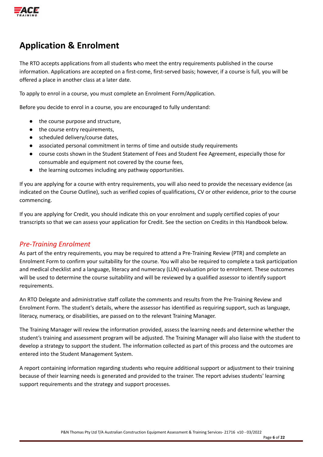

# <span id="page-5-0"></span>**Application & Enrolment**

The RTO accepts applications from all students who meet the entry requirements published in the course information. Applications are accepted on a first-come, first-served basis; however, if a course is full, you will be offered a place in another class at a later date.

To apply to enrol in a course, you must complete an Enrolment Form/Application.

Before you decide to enrol in a course, you are encouraged to fully understand:

- the course purpose and structure,
- the course entry requirements,
- scheduled delivery/course dates,
- associated personal commitment in terms of time and outside study requirements
- course costs shown in the Student Statement of Fees and Student Fee Agreement, especially those for consumable and equipment not covered by the course fees,
- the learning outcomes including any pathway opportunities.

If you are applying for a course with entry requirements, you will also need to provide the necessary evidence (as indicated on the Course Outline), such as verified copies of qualifications, CV or other evidence, prior to the course commencing.

If you are applying for Credit, you should indicate this on your enrolment and supply certified copies of your transcripts so that we can assess your application for Credit. See the section on Credits in this Handbook below.

# <span id="page-5-1"></span>*Pre-Training Enrolment*

As part of the entry requirements, you may be required to attend a Pre-Training Review (PTR) and complete an Enrolment Form to confirm your suitability for the course. You will also be required to complete a task participation and medical checklist and a language, literacy and numeracy (LLN) evaluation prior to enrolment. These outcomes will be used to determine the course suitability and will be reviewed by a qualified assessor to identify support requirements.

An RTO Delegate and administrative staff collate the comments and results from the Pre-Training Review and Enrolment Form. The student's details, where the assessor has identified as requiring support, such as language, literacy, numeracy, or disabilities, are passed on to the relevant Training Manager.

The Training Manager will review the information provided, assess the learning needs and determine whether the student's training and assessment program will be adjusted. The Training Manager will also liaise with the student to develop a strategy to support the student. The information collected as part of this process and the outcomes are entered into the Student Management System.

A report containing information regarding students who require additional support or adjustment to their training because of their learning needs is generated and provided to the trainer. The report advises students' learning support requirements and the strategy and support processes.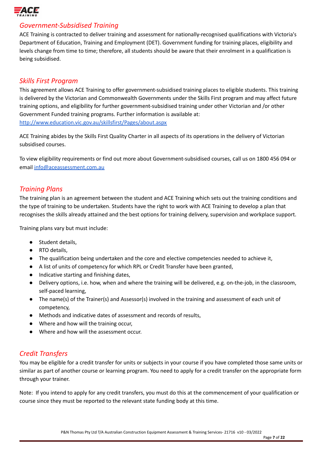

### <span id="page-6-0"></span>*Government-Subsidised Training*

ACE Training is contracted to deliver training and assessment for nationally-recognised qualifications with Victoria's Department of Education, Training and Employment (DET). Government funding for training places, eligibility and levels change from time to time; therefore, all students should be aware that their enrolment in a qualification is being subsidised.

### <span id="page-6-1"></span>*Skills First Program*

This agreement allows ACE Training to offer government-subsidised training places to eligible students. This training is delivered by the Victorian and Commonwealth Governments under the Skills First program and may affect future training options, and eligibility for further government-subsidised training under other Victorian and /or other Government Funded training programs. Further information is available at: <http://www.education.vic.gov.au/skillsfirst/Pages/about.aspx>

ACE Training abides by the Skills First Quality Charter in all aspects of its operations in the delivery of Victorian subsidised courses.

To view eligibility requirements or find out more about Government-subsidised courses, call us on 1800 456 094 or email [info@aceassessment.com.au](mailto:info@aceassessment.com.au)

### <span id="page-6-2"></span>*Training Plans*

The training plan is an agreement between the student and ACE Training which sets out the training conditions and the type of training to be undertaken. Students have the right to work with ACE Training to develop a plan that recognises the skills already attained and the best options for training delivery, supervision and workplace support.

Training plans vary but must include:

- Student details,
- RTO details,
- The qualification being undertaken and the core and elective competencies needed to achieve it,
- A list of units of competency for which RPL or Credit Transfer have been granted,
- Indicative starting and finishing dates,
- Delivery options, i.e. how, when and where the training will be delivered, e.g. on-the-job, in the classroom, self‐paced learning,
- The name(s) of the Trainer(s) and Assessor(s) involved in the training and assessment of each unit of competency,
- Methods and indicative dates of assessment and records of results,
- Where and how will the training occur,
- Where and how will the assessment occur.

# <span id="page-6-3"></span>*Credit Transfers*

You may be eligible for a credit transfer for units or subjects in your course if you have completed those same units or similar as part of another course or learning program. You need to apply for a credit transfer on the appropriate form through your trainer.

Note: If you intend to apply for any credit transfers, you must do this at the commencement of your qualification or course since they must be reported to the relevant state funding body at this time.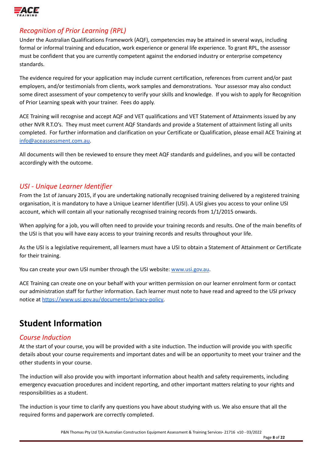

# <span id="page-7-0"></span>*Recognition of Prior Learning (RPL)*

Under the Australian Qualifications Framework (AQF), competencies may be attained in several ways, including formal or informal training and education, work experience or general life experience. To grant RPL, the assessor must be confident that you are currently competent against the endorsed industry or enterprise competency standards.

The evidence required for your application may include current certification, references from current and/or past employers, and/or testimonials from clients, work samples and demonstrations. Your assessor may also conduct some direct assessment of your competency to verify your skills and knowledge. If you wish to apply for Recognition of Prior Learning speak with your trainer. Fees do apply.

ACE Training will recognise and accept AQF and VET qualifications and VET Statement of Attainments issued by any other NVR R.T.O's. They must meet current AQF Standards and provide a Statement of attainment listing all units completed. For further information and clarification on your Certificate or Qualification, please email ACE Training at [info@aceassessment.com.au.](mailto:info@aceassessment.com.au)

All documents will then be reviewed to ensure they meet AQF standards and guidelines, and you will be contacted accordingly with the outcome.

# <span id="page-7-1"></span>*USI - Unique Learner Identifier*

From the 1st of January 2015, if you are undertaking nationally recognised training delivered by a registered training organisation, it is mandatory to have a Unique Learner Identifier (USI). A USI gives you access to your online USI account, which will contain all your nationally recognised training records from 1/1/2015 onwards.

When applying for a job, you will often need to provide your training records and results. One of the main benefits of the USI is that you will have easy access to your training records and results throughout your life.

As the USI is a legislative requirement, all learners must have a USI to obtain a Statement of Attainment or Certificate for their training.

You can create your own USI number through the USI website: [www.usi.gov.au](http://www.usi.gov.au).

ACE Training can create one on your behalf with your written permission on our learner enrolment form or contact our administration staff for further information. Each learner must note to have read and agreed to the USI privacy notice at [https://www.usi.gov.au/documents/privacy-policy.](https://www.usi.gov.au/documents/privacy-policy)

# <span id="page-7-2"></span>**Student Information**

# <span id="page-7-3"></span>*Course Induction*

At the start of your course, you will be provided with a site induction. The induction will provide you with specific details about your course requirements and important dates and will be an opportunity to meet your trainer and the other students in your course.

The induction will also provide you with important information about health and safety requirements, including emergency evacuation procedures and incident reporting, and other important matters relating to your rights and responsibilities as a student.

The induction is your time to clarify any questions you have about studying with us. We also ensure that all the required forms and paperwork are correctly completed.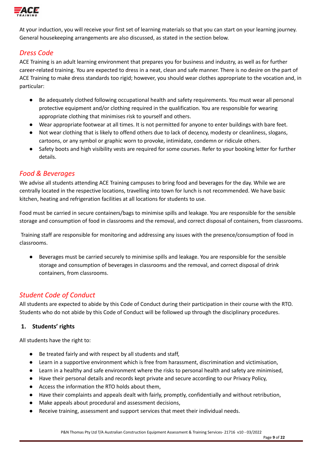

At your induction, you will receive your first set of learning materials so that you can start on your learning journey. General housekeeping arrangements are also discussed, as stated in the section below.

# <span id="page-8-0"></span>*Dress Code*

ACE Training is an adult learning environment that prepares you for business and industry, as well as for further career-related training. You are expected to dress in a neat, clean and safe manner. There is no desire on the part of ACE Training to make dress standards too rigid; however, you should wear clothes appropriate to the vocation and, in particular:

- Be adequately clothed following occupational health and safety requirements. You must wear all personal protective equipment and/or clothing required in the qualification. You are responsible for wearing appropriate clothing that minimises risk to yourself and others.
- Wear appropriate footwear at all times. It is not permitted for anyone to enter buildings with bare feet.
- Not wear clothing that is likely to offend others due to lack of decency, modesty or cleanliness, slogans, cartoons, or any symbol or graphic worn to provoke, intimidate, condemn or ridicule others.
- Safety boots and high visibility vests are required for some courses. Refer to your booking letter for further details.

### <span id="page-8-1"></span>*Food & Beverages*

We advise all students attending ACE Training campuses to bring food and beverages for the day. While we are centrally located in the respective locations, travelling into town for lunch is not recommended. We have basic kitchen, heating and refrigeration facilities at all locations for students to use.

Food must be carried in secure containers/bags to minimise spills and leakage. You are responsible for the sensible storage and consumption of food in classrooms and the removal, and correct disposal of containers, from classrooms.

Training staff are responsible for monitoring and addressing any issues with the presence/consumption of food in classrooms.

● Beverages must be carried securely to minimise spills and leakage. You are responsible for the sensible storage and consumption of beverages in classrooms and the removal, and correct disposal of drink containers, from classrooms.

# <span id="page-8-2"></span>*Student Code of Conduct*

All students are expected to abide by this Code of Conduct during their participation in their course with the RTO. Students who do not abide by this Code of Conduct will be followed up through the disciplinary procedures.

### <span id="page-8-3"></span>**1. Students' rights**

All students have the right to:

- Be treated fairly and with respect by all students and staff,
- Learn in a supportive environment which is free from harassment, discrimination and victimisation,
- Learn in a healthy and safe environment where the risks to personal health and safety are minimised,
- Have their personal details and records kept private and secure according to our Privacy Policy,
- Access the information the RTO holds about them,
- Have their complaints and appeals dealt with fairly, promptly, confidentially and without retribution,
- Make appeals about procedural and assessment decisions,
- Receive training, assessment and support services that meet their individual needs.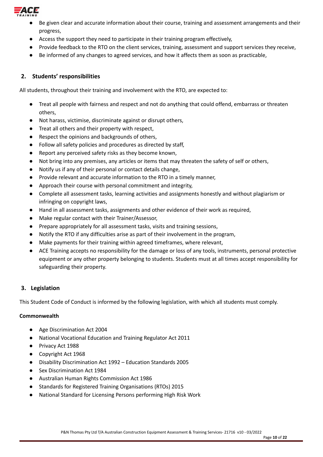

- Be given clear and accurate information about their course, training and assessment arrangements and their progress,
- Access the support they need to participate in their training program effectively,
- Provide feedback to the RTO on the client services, training, assessment and support services they receive,
- Be informed of any changes to agreed services, and how it affects them as soon as practicable,

### <span id="page-9-0"></span>**2. Students' responsibilities**

All students, throughout their training and involvement with the RTO, are expected to:

- Treat all people with fairness and respect and not do anything that could offend, embarrass or threaten others,
- Not harass, victimise, discriminate against or disrupt others,
- Treat all others and their property with respect,
- Respect the opinions and backgrounds of others,
- Follow all safety policies and procedures as directed by staff,
- Report any perceived safety risks as they become known,
- Not bring into any premises, any articles or items that may threaten the safety of self or others,
- Notify us if any of their personal or contact details change,
- Provide relevant and accurate information to the RTO in a timely manner,
- Approach their course with personal commitment and integrity,
- Complete all assessment tasks, learning activities and assignments honestly and without plagiarism or infringing on copyright laws,
- Hand in all assessment tasks, assignments and other evidence of their work as required,
- Make regular contact with their Trainer/Assessor,
- Prepare appropriately for all assessment tasks, visits and training sessions,
- Notify the RTO if any difficulties arise as part of their involvement in the program,
- Make payments for their training within agreed timeframes, where relevant,
- ACE Training accepts no responsibility for the damage or loss of any tools, instruments, personal protective equipment or any other property belonging to students. Students must at all times accept responsibility for safeguarding their property.

### <span id="page-9-1"></span>**3. Legislation**

This Student Code of Conduct is informed by the following legislation, with which all students must comply.

#### <span id="page-9-2"></span>**Commonwealth**

- Age Discrimination Act 2004
- National Vocational Education and Training Regulator Act 2011
- Privacy Act 1988
- Copyright Act 1968
- Disability Discrimination Act 1992 Education Standards 2005
- Sex Discrimination Act 1984
- Australian Human Rights Commission Act 1986
- Standards for Registered Training Organisations (RTOs) 2015
- National Standard for Licensing Persons performing High Risk Work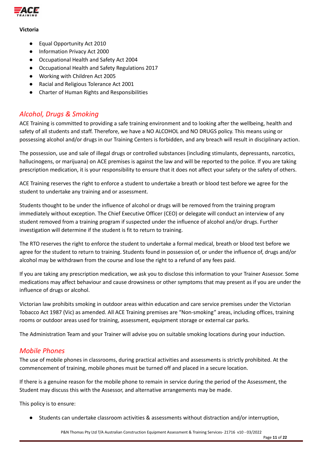

#### <span id="page-10-0"></span>**Victoria**

- Equal Opportunity Act 2010
- Information Privacy Act 2000
- Occupational Health and Safety Act 2004
- Occupational Health and Safety Regulations 2017
- Working with Children Act 2005
- Racial and Religious Tolerance Act 2001
- Charter of Human Rights and Responsibilities

# <span id="page-10-1"></span>*Alcohol, Drugs & Smoking*

ACE Training is committed to providing a safe training environment and to looking after the wellbeing, health and safety of all students and staff. Therefore, we have a NO ALCOHOL and NO DRUGS policy. This means using or possessing alcohol and/or drugs in our Training Centers is forbidden, and any breach will result in disciplinary action.

The possession, use and sale of illegal drugs or controlled substances (including stimulants, depressants, narcotics, hallucinogens, or marijuana) on ACE premises is against the law and will be reported to the police. If you are taking prescription medication, it is your responsibility to ensure that it does not affect your safety or the safety of others.

ACE Training reserves the right to enforce a student to undertake a breath or blood test before we agree for the student to undertake any training and or assessment.

Students thought to be under the influence of alcohol or drugs will be removed from the training program immediately without exception. The Chief Executive Officer (CEO) or delegate will conduct an interview of any student removed from a training program if suspected under the influence of alcohol and/or drugs. Further investigation will determine if the student is fit to return to training.

The RTO reserves the right to enforce the student to undertake a formal medical, breath or blood test before we agree for the student to return to training. Students found in possession of, or under the influence of, drugs and/or alcohol may be withdrawn from the course and lose the right to a refund of any fees paid.

If you are taking any prescription medication, we ask you to disclose this information to your Trainer Assessor. Some medications may affect behaviour and cause drowsiness or other symptoms that may present as if you are under the influence of drugs or alcohol.

Victorian law prohibits smoking in outdoor areas within education and care service premises under the Victorian Tobacco Act 1987 (Vic) as amended. All ACE Training premises are "Non-smoking" areas, including offices, training rooms or outdoor areas used for training, assessment, equipment storage or external car parks.

The Administration Team and your Trainer will advise you on suitable smoking locations during your induction.

# <span id="page-10-2"></span>*Mobile Phones*

The use of mobile phones in classrooms, during practical activities and assessments is strictly prohibited. At the commencement of training, mobile phones must be turned off and placed in a secure location.

If there is a genuine reason for the mobile phone to remain in service during the period of the Assessment, the Student may discuss this with the Assessor, and alternative arrangements may be made.

This policy is to ensure:

Students can undertake classroom activities & assessments without distraction and/or interruption,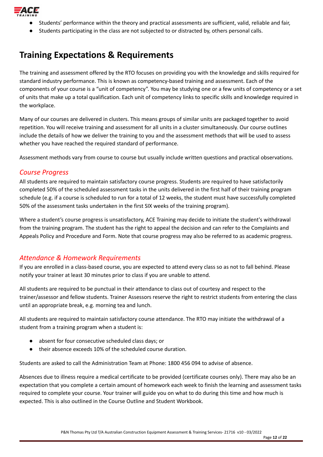

- Students' performance within the theory and practical assessments are sufficient, valid, reliable and fair,
- Students participating in the class are not subjected to or distracted by, others personal calls.

# <span id="page-11-0"></span>**Training Expectations & Requirements**

The training and assessment offered by the RTO focuses on providing you with the knowledge and skills required for standard industry performance. This is known as competency-based training and assessment. Each of the components of your course is a "unit of competency". You may be studying one or a few units of competency or a set of units that make up a total qualification. Each unit of competency links to specific skills and knowledge required in the workplace.

Many of our courses are delivered in clusters. This means groups of similar units are packaged together to avoid repetition. You will receive training and assessment for all units in a cluster simultaneously. Our course outlines include the details of how we deliver the training to you and the assessment methods that will be used to assess whether you have reached the required standard of performance.

Assessment methods vary from course to course but usually include written questions and practical observations.

# <span id="page-11-1"></span>*Course Progress*

All students are required to maintain satisfactory course progress. Students are required to have satisfactorily completed 50% of the scheduled assessment tasks in the units delivered in the first half of their training program schedule (e.g. if a course is scheduled to run for a total of 12 weeks, the student must have successfully completed 50% of the assessment tasks undertaken in the first SIX weeks of the training program).

Where a student's course progress is unsatisfactory, ACE Training may decide to initiate the student's withdrawal from the training program. The student has the right to appeal the decision and can refer to the Complaints and Appeals Policy and Procedure and Form. Note that course progress may also be referred to as academic progress.

# <span id="page-11-2"></span>*Attendance & Homework Requirements*

If you are enrolled in a class-based course, you are expected to attend every class so as not to fall behind. Please notify your trainer at least 30 minutes prior to class if you are unable to attend.

All students are required to be punctual in their attendance to class out of courtesy and respect to the trainer/assessor and fellow students. Trainer Assessors reserve the right to restrict students from entering the class until an appropriate break, e.g. morning tea and lunch.

All students are required to maintain satisfactory course attendance. The RTO may initiate the withdrawal of a student from a training program when a student is:

- absent for four consecutive scheduled class days; or
- their absence exceeds 10% of the scheduled course duration.

Students are asked to call the Administration Team at Phone: 1800 456 094 to advise of absence.

Absences due to illness require a medical certificate to be provided (certificate courses only). There may also be an expectation that you complete a certain amount of homework each week to finish the learning and assessment tasks required to complete your course. Your trainer will guide you on what to do during this time and how much is expected. This is also outlined in the Course Outline and Student Workbook.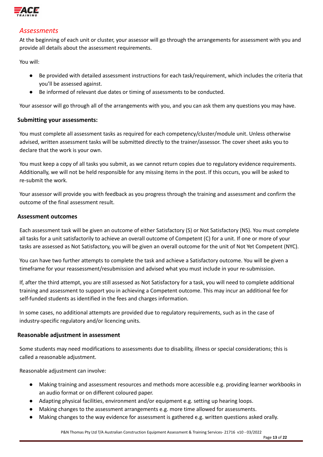

### <span id="page-12-0"></span>*Assessments*

At the beginning of each unit or cluster, your assessor will go through the arrangements for assessment with you and provide all details about the assessment requirements.

You will:

- Be provided with detailed assessment instructions for each task/requirement, which includes the criteria that you'll be assessed against.
- Be informed of relevant due dates or timing of assessments to be conducted.

Your assessor will go through all of the arrangements with you, and you can ask them any questions you may have.

#### <span id="page-12-1"></span>**Submitting your assessments:**

You must complete all assessment tasks as required for each competency/cluster/module unit. Unless otherwise advised, written assessment tasks will be submitted directly to the trainer/assessor. The cover sheet asks you to declare that the work is your own.

You must keep a copy of all tasks you submit, as we cannot return copies due to regulatory evidence requirements. Additionally, we will not be held responsible for any missing items in the post. If this occurs, you will be asked to re-submit the work.

Your assessor will provide you with feedback as you progress through the training and assessment and confirm the outcome of the final assessment result.

#### <span id="page-12-2"></span>**Assessment outcomes**

Each assessment task will be given an outcome of either Satisfactory (S) or Not Satisfactory (NS). You must complete all tasks for a unit satisfactorily to achieve an overall outcome of Competent (C) for a unit. If one or more of your tasks are assessed as Not Satisfactory, you will be given an overall outcome for the unit of Not Yet Competent (NYC).

You can have two further attempts to complete the task and achieve a Satisfactory outcome. You will be given a timeframe for your reassessment/resubmission and advised what you must include in your re-submission.

If, after the third attempt, you are still assessed as Not Satisfactory for a task, you will need to complete additional training and assessment to support you in achieving a Competent outcome. This may incur an additional fee for self-funded students as identified in the fees and charges information.

In some cases, no additional attempts are provided due to regulatory requirements, such as in the case of industry-specific regulatory and/or licencing units.

### <span id="page-12-3"></span>**Reasonable adjustment in assessment**

Some students may need modifications to assessments due to disability, illness or special considerations; this is called a reasonable adjustment.

Reasonable adjustment can involve:

- Making training and assessment resources and methods more accessible e.g. providing learner workbooks in an audio format or on different coloured paper.
- Adapting physical facilities, environment and/or equipment e.g. setting up hearing loops.
- Making changes to the assessment arrangements e.g. more time allowed for assessments.
- Making changes to the way evidence for assessment is gathered e.g. written questions asked orally.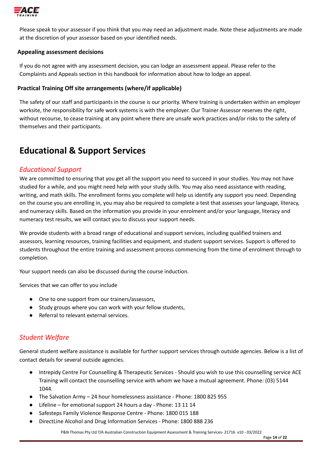

Please speak to your assessor if you think that you may need an adjustment made. Note these adjustments are made at the discretion of your assessor based on your identified needs.

#### <span id="page-13-0"></span>**Appealing assessment decisions**

If you do not agree with any assessment decision, you can lodge an assessment appeal. Please refer to the Complaints and Appeals section in this handbook for information about how to lodge an appeal.

### <span id="page-13-1"></span>**Practical Training Off site arrangements (where/if applicable)**

The safety of our staff and participants in the course is our priority. Where training is undertaken within an employer worksite, the responsibility for safe work systems is with the employer. Our Trainer Assessor reserves the right, without recourse, to cease training at any point where there are unsafe work practices and/or risks to the safety of themselves and their participants.

# <span id="page-13-2"></span>**Educational & Support Services**

### <span id="page-13-3"></span>*Educational Support*

We are committed to ensuring that you get all the support you need to succeed in your studies. You may not have studied for a while, and you might need help with your study skills. You may also need assistance with reading, writing, and math skills. The enrollment forms you complete will help us identify any support you need. Depending on the course you are enrolling in, you may also be required to complete a test that assesses your language, literacy, and numeracy skills. Based on the information you provide in your enrolment and/or your language, literacy and numeracy test results, we will contact you to discuss your support needs.

We provide students with a broad range of educational and support services, including qualified trainers and assessors, learning resources, training facilities and equipment, and student support services. Support is offered to students throughout the entire training and assessment process commencing from the time of enrolment through to completion.

Your support needs can also be discussed during the course induction.

Services that we can offer to you include

- One to one support from our trainers/assessors,
- Study groups where you can work with your fellow students,
- Referral to relevant external services.

# <span id="page-13-4"></span>*Student Welfare*

General student welfare assistance is available for further support services through outside agencies. Below is a list of contact details for several outside agencies.

- Intrepidy Centre For Counselling & Therapeutic Services Should you wish to use this counselling service ACE Training will contact the counselling service with whom we have a mutual agreement. [Phone](https://www.google.com.au/search?q=intrepidy+phone&sa=X&ved=0ahUKEwienNbNmvTXAhUJT7wKHehGC7cQ6BMIfTAQ): (03) 5144 1044.
- The Salvation Army 24 hour homelessness assistance Phone: 1800 825 955
- Lifeline for emotional support 24 hours a day Phone: 13 11 14
- Safesteps Family Violence Response Centre Phone: 1800 015 188
- DirectLine Alcohol and Drug Information Services Phone: 1800 888 236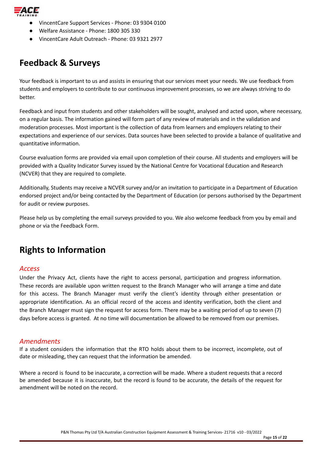

- VincentCare Support Services Phone: 03 9304 0100
- Welfare Assistance Phone: 1800 305 330
- VincentCare Adult Outreach Phone: 03 9321 2977

# <span id="page-14-0"></span>**Feedback & Surveys**

Your feedback is important to us and assists in ensuring that our services meet your needs. We use feedback from students and employers to contribute to our continuous improvement processes, so we are always striving to do better.

Feedback and input from students and other stakeholders will be sought, analysed and acted upon, where necessary, on a regular basis. The information gained will form part of any review of materials and in the validation and moderation processes. Most important is the collection of data from learners and employers relating to their expectations and experience of our services. Data sources have been selected to provide a balance of qualitative and quantitative information.

Course evaluation forms are provided via email upon completion of their course. All students and employers will be provided with a Quality Indicator Survey issued by the National Centre for Vocational Education and Research (NCVER) that they are required to complete.

Additionally, Students may receive a NCVER survey and/or an invitation to participate in a Department of Education endorsed project and/or being contacted by the Department of Education (or persons authorised by the Department for audit or review purposes.

Please help us by completing the email surveys provided to you. We also welcome feedback from you by email and phone or via the Feedback Form.

# <span id="page-14-1"></span>**Rights to Information**

### <span id="page-14-2"></span>*Access*

Under the Privacy Act, clients have the right to access personal, participation and progress information. These records are available upon written request to the Branch Manager who will arrange a time and date for this access. The Branch Manager must verify the client's identity through either presentation or appropriate identification. As an official record of the access and identity verification, both the client and the Branch Manager must sign the request for access form. There may be a waiting period of up to seven (7) days before access is granted. At no time will documentation be allowed to be removed from our premises.

### <span id="page-14-3"></span>*Amendments*

If a student considers the information that the RTO holds about them to be incorrect, incomplete, out of date or misleading, they can request that the information be amended.

Where a record is found to be inaccurate, a correction will be made. Where a student requests that a record be amended because it is inaccurate, but the record is found to be accurate, the details of the request for amendment will be noted on the record.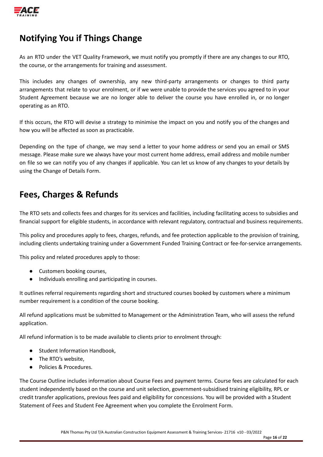

# <span id="page-15-0"></span>**Notifying You if Things Change**

As an RTO under the VET Quality Framework, we must notify you promptly if there are any changes to our RTO, the course, or the arrangements for training and assessment.

This includes any changes of ownership, any new third-party arrangements or changes to third party arrangements that relate to your enrolment, or if we were unable to provide the services you agreed to in your Student Agreement because we are no longer able to deliver the course you have enrolled in, or no longer operating as an RTO.

If this occurs, the RTO will devise a strategy to minimise the impact on you and notify you of the changes and how you will be affected as soon as practicable.

Depending on the type of change, we may send a letter to your home address or send you an email or SMS message. Please make sure we always have your most current home address, email address and mobile number on file so we can notify you of any changes if applicable. You can let us know of any changes to your details by using the Change of Details Form.

# <span id="page-15-1"></span>**Fees, Charges & Refunds**

The RTO sets and collects fees and charges for its services and facilities, including facilitating access to subsidies and financial support for eligible students, in accordance with relevant regulatory, contractual and business requirements.

This policy and procedures apply to fees, charges, refunds, and fee protection applicable to the provision of training, including clients undertaking training under a Government Funded Training Contract or fee-for-service arrangements.

This policy and related procedures apply to those:

- Customers booking courses,
- Individuals enrolling and participating in courses.

It outlines referral requirements regarding short and structured courses booked by customers where a minimum number requirement is a condition of the course booking.

All refund applications must be submitted to Management or the Administration Team, who will assess the refund application.

All refund information is to be made available to clients prior to enrolment through:

- Student Information Handbook,
- The RTO's website,
- Policies & Procedures.

The Course Outline includes information about Course Fees and payment terms. Course fees are calculated for each student independently based on the course and unit selection, government-subsidised training eligibility, RPL or credit transfer applications, previous fees paid and eligibility for concessions. You will be provided with a Student Statement of Fees and Student Fee Agreement when you complete the Enrolment Form.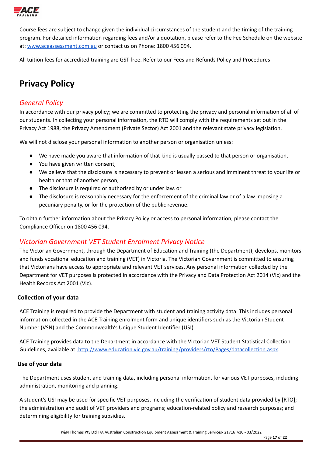

Course fees are subject to change given the individual circumstances of the student and the timing of the training program. For detailed information regarding fees and/or a quotation, please refer to the Fee Schedule on the website at: [www.aceassessment.com.au](http://www.aceassessment.com.au) or contact us on Phone: 1800 456 094.

All tuition fees for accredited training are GST free. Refer to our Fees and Refunds Policy and Procedures

# <span id="page-16-0"></span>**Privacy Policy**

# <span id="page-16-1"></span>*General Policy*

In accordance with our privacy policy; we are committed to protecting the privacy and personal information of all of our students. In collecting your personal information, the RTO will comply with the requirements set out in the Privacy Act 1988, the Privacy Amendment (Private Sector) Act 2001 and the relevant state privacy legislation.

We will not disclose your personal information to another person or organisation unless:

- We have made you aware that information of that kind is usually passed to that person or organisation,
- You have given written consent,
- We believe that the disclosure is necessary to prevent or lessen a serious and imminent threat to your life or health or that of another person,
- The disclosure is required or authorised by or under law, or
- The disclosure is reasonably necessary for the enforcement of the criminal law or of a law imposing a pecuniary penalty, or for the protection of the public revenue.

To obtain further information about the Privacy Policy or access to personal information, please contact the Compliance Officer on 1800 456 094.

# <span id="page-16-2"></span>*Victorian Government VET Student Enrolment Privacy Notice*

The Victorian Government, through the Department of Education and Training (the Department), develops, monitors and funds vocational education and training (VET) in Victoria. The Victorian Government is committed to ensuring that Victorians have access to appropriate and relevant VET services. Any personal information collected by the Department for VET purposes is protected in accordance with the Privacy and Data Protection Act 2014 (Vic) and the Health Records Act 2001 (Vic).

### <span id="page-16-3"></span>**Collection of your data**

ACE Training is required to provide the Department with student and training activity data. This includes personal information collected in the ACE Training enrolment form and unique identifiers such as the Victorian Student Number (VSN) and the Commonwealth's Unique Student Identifier (USI).

ACE Training provides data to the Department in accordance with the Victorian VET Student Statistical Collection Guidelines, available at: [http://www.education.vic.gov.au/training/providers/rto/Pages/datacollection.aspx.](http://www.education.vic.gov.au/training/providers/rto/Pages/datacollection.aspx)

#### <span id="page-16-4"></span>**Use of your data**

The Department uses student and training data, including personal information, for various VET purposes, including administration, monitoring and planning.

A student's USI may be used for specific VET purposes, including the verification of student data provided by [RTO]; the administration and audit of VET providers and programs; education-related policy and research purposes; and determining eligibility for training subsidies.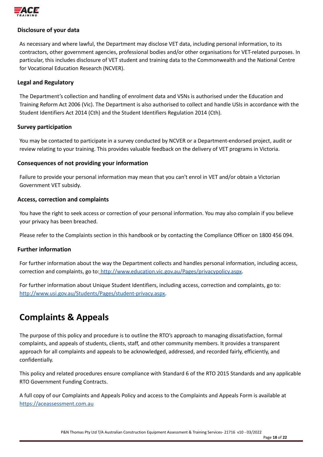

### <span id="page-17-0"></span>**Disclosure of your data**

As necessary and where lawful, the Department may disclose VET data, including personal information, to its contractors, other government agencies, professional bodies and/or other organisations for VET-related purposes. In particular, this includes disclosure of VET student and training data to the Commonwealth and the National Centre for Vocational Education Research (NCVER).

#### <span id="page-17-1"></span>**Legal and Regulatory**

The Department's collection and handling of enrolment data and VSNs is authorised under the Education and Training Reform Act 2006 (Vic). The Department is also authorised to collect and handle USIs in accordance with the Student Identifiers Act 2014 (Cth) and the Student Identifiers Regulation 2014 (Cth).

#### <span id="page-17-2"></span>**Survey participation**

You may be contacted to participate in a survey conducted by NCVER or a Department-endorsed project, audit or review relating to your training. This provides valuable feedback on the delivery of VET programs in Victoria.

#### <span id="page-17-3"></span>**Consequences of not providing your information**

Failure to provide your personal information may mean that you can't enrol in VET and/or obtain a Victorian Government VET subsidy.

#### <span id="page-17-4"></span>**Access, correction and complaints**

You have the right to seek access or correction of your personal information. You may also complain if you believe your privacy has been breached.

Please refer to the Complaints section in this handbook or by contacting the Compliance Officer on 1800 456 094.

#### <span id="page-17-5"></span>**Further information**

For further information about the way the Department collects and handles personal information, including access, correction and complaints, go to: <http://www.education.vic.gov.au/Pages/privacypolicy.aspx>.

For further information about Unique Student Identifiers, including access, correction and complaints, go to[:](http://www.usi.gov.au/Students/Pages/student-privacy.aspx) [http://www.usi.gov.au/Students/Pages/student-privacy.aspx.](http://www.usi.gov.au/Students/Pages/student-privacy.aspx)

# <span id="page-17-6"></span>**Complaints & Appeals**

The purpose of this policy and procedure is to outline the RTO's approach to managing dissatisfaction, formal complaints, and appeals of students, clients, staff, and other community members. It provides a transparent approach for all complaints and appeals to be acknowledged, addressed, and recorded fairly, efficiently, and confidentially.

This policy and related procedures ensure compliance with Standard 6 of the RTO 2015 Standards and any applicable RTO Government Funding Contracts.

A full copy of our Complaints and Appeals Policy and access to the Complaints and Appeals Form is available at <https://aceassessment.com.au>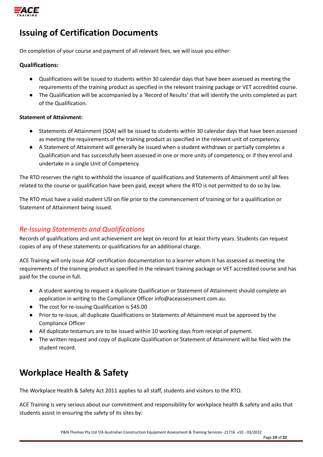

# <span id="page-18-0"></span>**Issuing of Certification Documents**

On completion of your course and payment of all relevant fees, we will issue you either:

#### **Qualifications:**

- Qualifications will be issued to students within 30 calendar days that have been assessed as meeting the requirements of the training product as specified in the relevant training package or VET accredited course.
- The Qualification will be accompanied by a 'Record of Results' that will identify the units completed as part of the Qualification.

#### **Statement of Attainment:**

- Statements of Attainment (SOA) will be issued to students within 30 calendar days that have been assessed as meeting the requirements of the training product as specified in the relevant unit of competency.
- A Statement of Attainment will generally be issued when a student withdraws or partially completes a Qualification and has successfully been assessed in one or more units of competency, or if they enrol and undertake in a single Unit of Competency.

The RTO reserves the right to withhold the issuance of qualifications and Statements of Attainment until all fees related to the course or qualification have been paid, except where the RTO is not permitted to do so by law.

The RTO must have a valid student USI on file prior to the commencement of training or for a qualification or Statement of Attainment being issued.

### <span id="page-18-1"></span>*Re-Issuing Statements and Qualifications*

Records of qualifications and unit achievement are kept on record for at least thirty years. Students can request copies of any of these statements or qualifications for an additional charge.

ACE Training will only issue AQF certification documentation to a learner whom it has assessed as meeting the requirements of the training product as specified in the relevant training package or VET accredited course and has paid for the course in full.

- A student wanting to request a duplicate Qualification or Statement of Attainment should complete an application in writing to the Compliance Officer info@aceassessment.com.au.
- The cost for re-issuing Qualification is \$45.00
- Prior to re-issue, all duplicate Qualifications or Statements of Attainment must be approved by the Compliance Officer
- All duplicate testamurs are to be issued within 10 working days from receipt of payment.
- The written request and copy of duplicate Qualification or Statement of Attainment will be filed with the student record.

# <span id="page-18-2"></span>**Workplace Health & Safety**

The Workplace Health & Safety Act 2011 applies to all staff, students and visitors to the RTO.

ACE Training is very serious about our commitment and responsibility for workplace health & safety and asks that students assist in ensuring the safety of its sites by: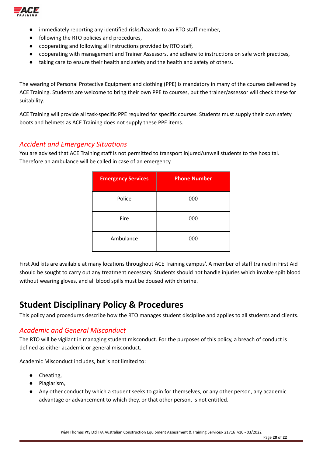

- immediately reporting any identified risks/hazards to an RTO staff member,
- following the RTO policies and procedures,
- cooperating and following all instructions provided by RTO staff,
- cooperating with management and Trainer Assessors, and adhere to instructions on safe work practices,
- taking care to ensure their health and safety and the health and safety of others.

The wearing of Personal Protective Equipment and clothing (PPE) is mandatory in many of the courses delivered by ACE Training. Students are welcome to bring their own PPE to courses, but the trainer/assessor will check these for suitability.

ACE Training will provide all task-specific PPE required for specific courses. Students must supply their own safety boots and helmets as ACE Training does not supply these PPE items.

### <span id="page-19-0"></span>*Accident and Emergency Situations*

You are advised that ACE Training staff is not permitted to transport injured/unwell students to the hospital. Therefore an ambulance will be called in case of an emergency.

| <b>Emergency Services</b> | <b>Phone Number</b> |
|---------------------------|---------------------|
| Police                    | 000                 |
| Fire                      | 000                 |
| Ambulance                 | 000                 |

First Aid kits are available at many locations throughout ACE Training campus'. A member of staff trained in First Aid should be sought to carry out any treatment necessary. Students should not handle injuries which involve spilt blood without wearing gloves, and all blood spills must be doused with chlorine.

# <span id="page-19-1"></span>**Student Disciplinary Policy & Procedures**

This policy and procedures describe how the RTO manages student discipline and applies to all students and clients.

### <span id="page-19-2"></span>*Academic and General Misconduct*

The RTO will be vigilant in managing student misconduct. For the purposes of this policy, a breach of conduct is defined as either academic or general misconduct.

Academic Misconduct includes, but is not limited to:

- Cheating,
- Plagiarism,
- Any other conduct by which a student seeks to gain for themselves, or any other person, any academic advantage or advancement to which they, or that other person, is not entitled.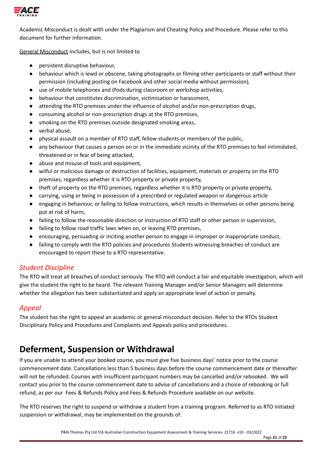

Academic Misconduct is dealt with under the Plagiarism and Cheating Policy and Procedure. Please refer to this document for further information.

General Misconduct includes, but is not limited to

- persistent disruptive behaviour,
- behaviour which is lewd or obscene, taking photographs or filming other participants or staff without their permission (including posting on Facebook and other social media without permission),
- use of mobile telephones and iPods during classroom or workshop activities,
- behaviour that constitutes discrimination, victimisation or harassment,
- attending the RTO premises under the influence of alcohol and/or non-prescription drugs,
- consuming alcohol or non-prescription drugs at the RTO premises,
- smoking on the RTO premises outside designated smoking areas,
- verbal abuse,
- physical assault on a member of RTO staff, fellow students or members of the public,
- any behaviour that causes a person on or in the immediate vicinity of the RTO premises to feel intimidated, threatened or in fear of being attacked,
- abuse and misuse of tools and equipment,
- wilful or malicious damage or destruction of facilities, equipment, materials or property on the RTO premises, regardless whether it is RTO property or private property,
- theft of property on the RTO premises, regardless whether it is RTO property or private property,
- carrying, using or being in possession of a prescribed or regulated weapon or dangerous article
- engaging in behaviour, or failing to follow instructions, which results in themselves or other persons being put at risk of harm,
- failing to follow the reasonable direction or instruction of RTO staff or other person in supervision,
- failing to follow road traffic laws when on, or leaving RTO premises,
- encouraging, persuading or inciting another person to engage in improper or inappropriate conduct,
- failing to comply with the RTO policies and procedures Students witnessing breaches of conduct are encouraged to report these to a RTO representative.

# <span id="page-20-0"></span>*Student Discipline*

The RTO will treat all breaches of conduct seriously. The RTO will conduct a fair and equitable investigation, which will give the student the right to be heard. The relevant Training Manager and/or Senior Managers will determine whether the allegation has been substantiated and apply an appropriate level of action or penalty.

# <span id="page-20-1"></span>*Appeal*

The student has the right to appeal an academic or general misconduct decision. Refer to the RTOs Student Disciplinary Policy and Procedures and Complaints and Appeals policy and procedures.

# <span id="page-20-2"></span>**Deferment, Suspension or Withdrawal**

If you are unable to attend your booked course, you must give five business days' notice prior to the course commencement date. Cancellations less than 5 business days before the course commencement date or thereafter will not be refunded. Courses with insufficient participant numbers may be cancelled and/or rebooked. We will contact you prior to the course commencement date to advise of cancellations and a choice of rebooking or full refund, as per our Fees & Refunds Policy and Fees & Refunds Procedure available on our website.

The RTO reserves the right to suspend or withdraw a student from a training program. Referred to as RTO initiated suspension or withdrawal, may be implemented on the grounds of: